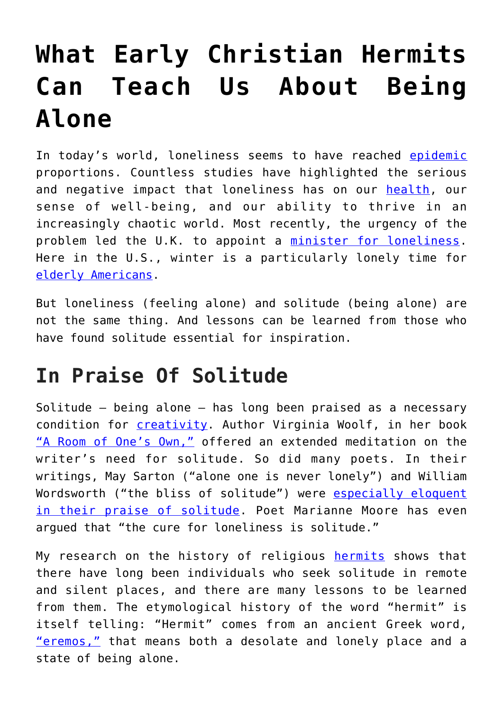## **[What Early Christian Hermits](https://intellectualtakeout.org/2018/02/what-early-christian-hermits-can-teach-us-about-being-alone/) [Can Teach Us About Being](https://intellectualtakeout.org/2018/02/what-early-christian-hermits-can-teach-us-about-being-alone/) [Alone](https://intellectualtakeout.org/2018/02/what-early-christian-hermits-can-teach-us-about-being-alone/)**

In today's world, loneliness seems to have reached [epidemic](http://www.wbur.org/onpoint/2018/01/23/the-loneliness-epidemic) proportions. Countless studies have highlighted the serious and negative impact that loneliness has on our [health,](http://fortune.com/2017/08/07/loneliness-public-health/) our sense of well-being, and our ability to thrive in an increasingly chaotic world. Most recently, the urgency of the problem led the U.K. to appoint a [minister for loneliness.](https://www.theguardian.com/society/2018/jan/23/tracey-crouch-minister-loneliness-friends-powerful-vested-interests) Here in the U.S., winter is a particularly lonely time for [elderly Americans.](https://www.theweathernetwork.com/news/articles/loneliness-epidemic-more-deadly-than-obesity-winter-days-colder-darker-tips/89800)

But loneliness (feeling alone) and solitude (being alone) are not the same thing. And lessons can be learned from those who have found solitude essential for inspiration.

## **In Praise Of Solitude**

Solitude – being alone – has long been praised as a necessary condition for [creativity.](http://www.simonandschuster.com/books/Solitude/Anthony-Storr/9780743280747) Author Virginia Woolf, in her book ["A Room of One's Own,"](https://www.bl.uk/collection-items/a-room-of-ones-own-by-virginia-woolf) offered an extended meditation on the writer's need for solitude. So did many poets. In their writings, May Sarton ("alone one is never lonely") and William Wordsworth ("the bliss of solitude") were [especially eloquent](https://www.brainpickings.org/2017/12/01/may-sarton-canticle-6-considerations/) [in their praise of solitude](https://www.brainpickings.org/2017/12/01/may-sarton-canticle-6-considerations/). Poet Marianne Moore has even argued that "the cure for loneliness is solitude."

My research on the history of religious [hermits](https://www.penguin.co.uk/books/1044263/hermits/) shows that there have long been individuals who seek solitude in remote and silent places, and there are many lessons to be learned from them. The etymological history of the word "hermit" is itself telling: "Hermit" comes from an ancient Greek word, ["eremos,"](https://www.areopage.net/PDF/LSJ.pdf) that means both a desolate and lonely place and a state of being alone.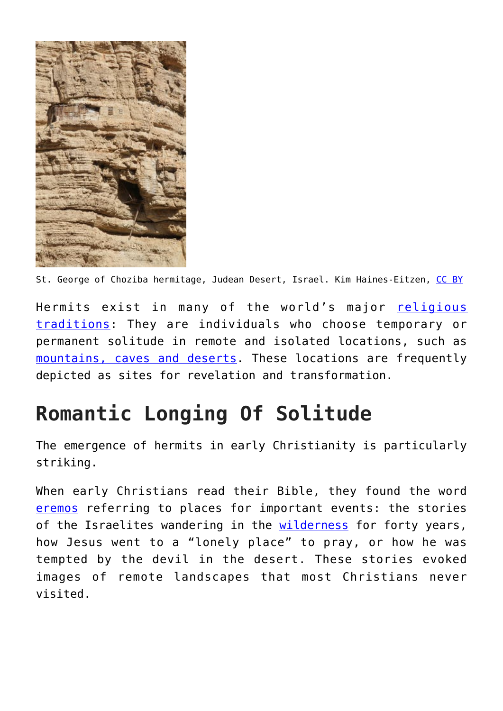

St. George of Choziba hermitage, Judean Desert, Israel. Kim Haines-Eitzen, [CC BY](http://creativecommons.org/licenses/by/4.0/)

Hermits exist in many of the world's major [religious](http://www.newworldencyclopedia.org/entry/Hermit) [traditions:](http://www.newworldencyclopedia.org/entry/Hermit) They are individuals who choose temporary or permanent solitude in remote and isolated locations, such as [mountains, caves and deserts](https://www.cambridge.org/core/books/landscape-nature-and-the-sacred-in-byzantium/2493D29303E59E4E8F13B8B528363215). These locations are frequently depicted as sites for revelation and transformation.

## **Romantic Longing Of Solitude**

The emergence of hermits in early Christianity is particularly striking.

When early Christians read their Bible, they found the word [eremos](https://global.oup.com/academic/product/a-patristic-greek-lexicon-9780198642138?cc=us&lang=en&) referring to places for important events: the stories of the Israelites wandering in the [wilderness](https://global.oup.com/academic/product/the-solace-of-fierce-landscapes-9780195315851?cc=us&lang=en&) for forty years, how Jesus went to a "lonely place" to pray, or how he was tempted by the devil in the desert. These stories evoked images of remote landscapes that most Christians never visited.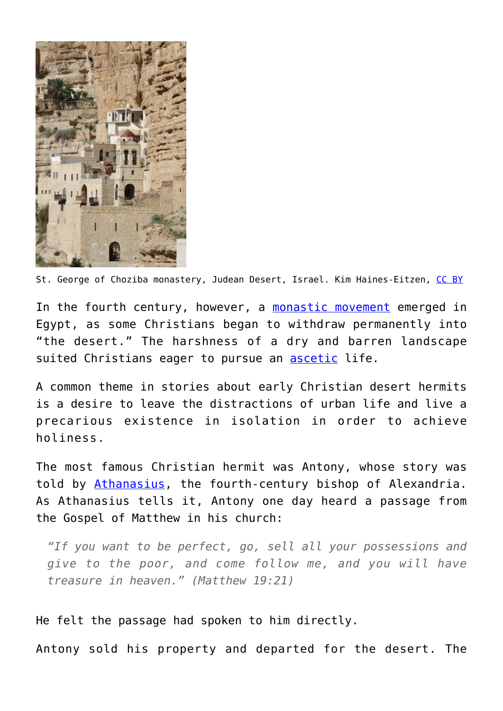

St. George of Choziba monastery, Judean Desert, Israel. Kim Haines-Eitzen, [CC BY](http://creativecommons.org/licenses/by/4.0/)

In the fourth century, however, a [monastic movement](https://global.oup.com/ushe/product/desert-christians-9780195162233?cc=us&lang=en&) emerged in Egypt, as some Christians began to withdraw permanently into "the desert." The harshness of a dry and barren landscape suited Christians eager to pursue an **ascetic** life.

A common theme in stories about early Christian desert hermits is a desire to leave the distractions of urban life and live a precarious existence in isolation in order to achieve holiness.

The most famous Christian hermit was Antony, whose story was told by [Athanasius,](https://www.cistercianpublications.org/Products/CS202/The-Life-of-Antony-The-Coptic-Life-and-The-Greek-Life) the fourth-century bishop of Alexandria. As Athanasius tells it, Antony one day heard a passage from the Gospel of Matthew in his church:

*"If you want to be perfect, go, sell all your possessions and give to the poor, and come follow me, and you will have treasure in heaven." (Matthew 19:21)*

He felt the passage had spoken to him directly.

Antony sold his property and departed for the desert. The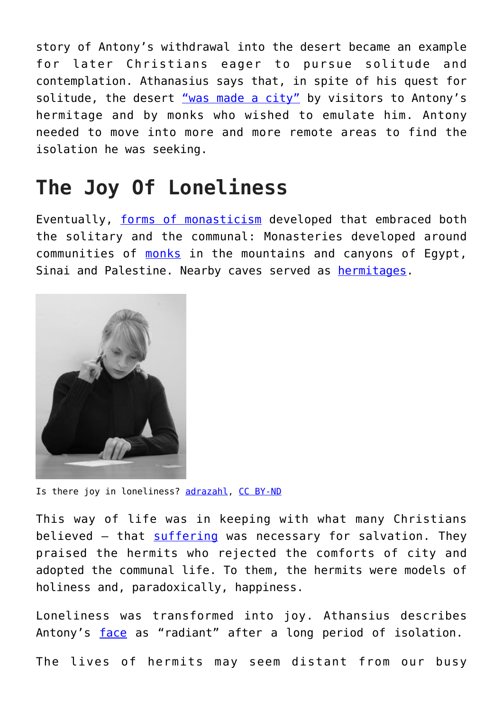story of Antony's withdrawal into the desert became an example for later Christians eager to pursue solitude and contemplation. Athanasius says that, in spite of his quest for solitude, the desert ["was made a city"](https://www.svspress.com/desert-a-city-the/) by visitors to Antony's hermitage and by monks who wished to emulate him. Antony needed to move into more and more remote areas to find the isolation he was seeking.

## **The Joy Of Loneliness**

Eventually, [forms of monasticism](https://books.google.com/books/about/Ascetics_Society_and_the_Desert.html?id=zcSEkYprImoC) developed that embraced both the solitary and the communal: Monasteries developed around communities of [monks](https://yalebooks.yale.edu/book/9780300049770/judean-desert-monasteries-byzantine-period) in the mountains and canyons of Egypt, Sinai and Palestine. Nearby caves served as **hermitages**.



Is there joy in loneliness? [adrazahl](https://www.flickr.com/photos/adrazahl/5292753659/in/photolist-4onTXU-5aEC81-YdnJw-76St-6oTV7X-bBtNvY-68XfKx-gmzDWu-aiNBCB-5tzTXL-nkQuz9-bDp7Sf-A7ZBdT-6XT2ob-afEdaQ-5SdiVo-2qjJZw-4k2aAU-6quyQx-5rx29C-JHjENe-5cs7cP-sa2MMe-cw9zq3-dF1H5X-9NxhvJ-bE11aU-5LcVY6-6EyJQQ-4GUmE-cdb9J-FZS7v-nubzLN-4wU1C5-966ZZH-qX4q8C-26pto-5kcwae-tUNYq-dcm3h2-H69ez-94GKgr-4cmTE1-gymTBt-azs49Q-xsbSA-zzNCxG-6MQcai-3g2ZRQ-UTGYrE), [CC BY-ND](http://creativecommons.org/licenses/by-nd/4.0/)

This way of life was in keeping with what many Christians believed - that [suffering](https://www.taylorfrancis.com/books/9781134798957) was necessary for salvation. They praised the hermits who rejected the comforts of city and adopted the communal life. To them, the hermits were models of holiness and, paradoxically, happiness.

Loneliness was transformed into joy. Athansius describes Antony's [face](http://california.universitypressscholarship.com/view/10.1525/california/9780520222052.001.0001/upso-9780520222052) as "radiant" after a long period of isolation.

The lives of hermits may seem distant from our busy